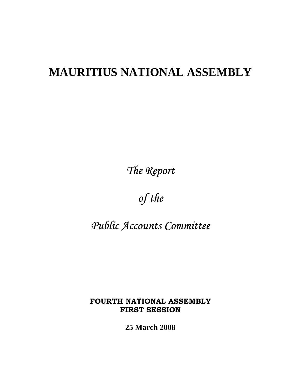# **MAURITIUS NATIONAL ASSEMBLY**

*The Report* 

*of the* 

*Public Accounts Committee* 

**FOURTH NATIONAL ASSEMBLY FIRST SESSION** 

**25 March 2008**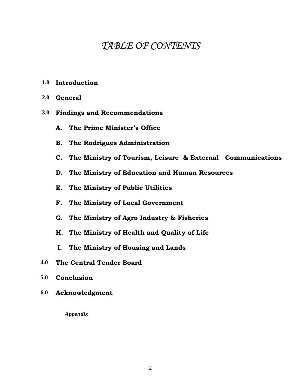## *TABLE OF CONTENTS*

- **1.0 Introduction**
- **2.0 General**
- **3.0 Findings and Recommendations** 
	- **A. The Prime Minister's Office**
	- **B. The Rodrigues Administration**
	- **C. The Ministry of Tourism, Leisure & External Communications**
	- **D. The Ministry of Education and Human Resources**
	- **E. The Ministry of Public Utilities**
	- **F. The Ministry of Local Government**
	- **G. The Ministry of Agro Industry & Fisheries**
	- **H. The Ministry of Health and Quality of Life**
	- **I. The Ministry of Housing and Lands**
- **4.0 The Central Tender Board**
- **5.0 Conclusion**
- **6.0 Acknowledgment**

*Appendix*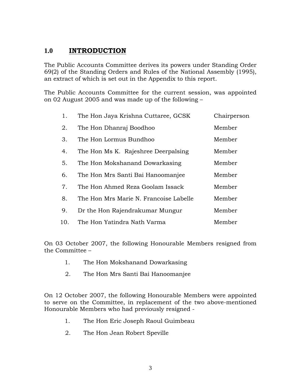## **1.0 INTRODUCTION**

The Public Accounts Committee derives its powers under Standing Order 69(2) of the Standing Orders and Rules of the National Assembly (1995), an extract of which is set out in the Appendix to this report.

The Public Accounts Committee for the current session, was appointed on 02 August 2005 and was made up of the following –

| 1.  | The Hon Jaya Krishna Cuttaree, GCSK    | Chairperson |
|-----|----------------------------------------|-------------|
| 2.  | The Hon Dhanraj Boodhoo                | Member      |
| 3.  | The Hon Lormus Bundhoo                 | Member      |
| 4.  | The Hon Ms K. Rajeshree Deerpalsing    | Member      |
| 5.  | The Hon Mokshanand Dowarkasing         | Member      |
| 6.  | The Hon Mrs Santi Bai Hanoomanjee      | Member      |
| 7.  | The Hon Ahmed Reza Goolam Issack       | Member      |
| 8.  | The Hon Mrs Marie N. Francoise Labelle | Member      |
| 9.  | Dr the Hon Rajendrakumar Mungur        | Member      |
| 10. | The Hon Yatindra Nath Varma            | Member      |

On 03 October 2007, the following Honourable Members resigned from the Committee –

- 1. The Hon Mokshanand Dowarkasing
- 2. The Hon Mrs Santi Bai Hanoomanjee

On 12 October 2007, the following Honourable Members were appointed to serve on the Committee, in replacement of the two above-mentioned Honourable Members who had previously resigned -

- 1. The Hon Eric Joseph Raoul Guimbeau
- 2. The Hon Jean Robert Speville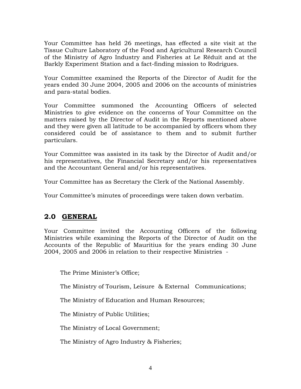Your Committee has held 26 meetings, has effected a site visit at the Tissue Culture Laboratory of the Food and Agricultural Research Council of the Ministry of Agro Industry and Fisheries at Le Réduit and at the Barkly Experiment Station and a fact-finding mission to Rodrigues.

Your Committee examined the Reports of the Director of Audit for the years ended 30 June 2004, 2005 and 2006 on the accounts of ministries and para-statal bodies.

Your Committee summoned the Accounting Officers of selected Ministries to give evidence on the concerns of Your Committee on the matters raised by the Director of Audit in the Reports mentioned above and they were given all latitude to be accompanied by officers whom they considered could be of assistance to them and to submit further particulars.

Your Committee was assisted in its task by the Director of Audit and/or his representatives, the Financial Secretary and/or his representatives and the Accountant General and/or his representatives.

Your Committee has as Secretary the Clerk of the National Assembly.

Your Committee's minutes of proceedings were taken down verbatim.

## **2.0 GENERAL**

Your Committee invited the Accounting Officers of the following Ministries while examining the Reports of the Director of Audit on the Accounts of the Republic of Mauritius for the years ending 30 June 2004, 2005 and 2006 in relation to their respective Ministries -

The Prime Minister's Office;

The Ministry of Tourism, Leisure & External Communications;

The Ministry of Education and Human Resources;

The Ministry of Public Utilities;

The Ministry of Local Government;

The Ministry of Agro Industry & Fisheries;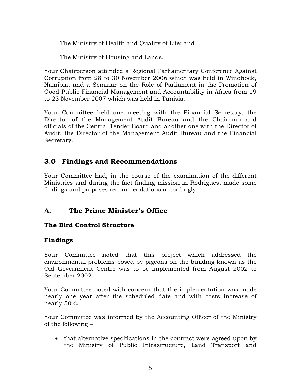The Ministry of Health and Quality of Life; and

The Ministry of Housing and Lands.

Your Chairperson attended a Regional Parliamentary Conference Against Corruption from 28 to 30 November 2006 which was held in Windhoek, Namibia, and a Seminar on the Role of Parliament in the Promotion of Good Public Financial Management and Accountability in Africa from 19 to 23 November 2007 which was held in Tunisia.

Your Committee held one meeting with the Financial Secretary, the Director of the Management Audit Bureau and the Chairman and officials of the Central Tender Board and another one with the Director of Audit, the Director of the Management Audit Bureau and the Financial Secretary.

## **3.0 Findings and Recommendations**

Your Committee had, in the course of the examination of the different Ministries and during the fact finding mission in Rodrigues, made some findings and proposes recommendations accordingly.

## **A. The Prime Minister's Office**

## **The Bird Control Structure**

## **Findings**

Your Committee noted that this project which addressed the environmental problems posed by pigeons on the building known as the Old Government Centre was to be implemented from August 2002 to September 2002.

Your Committee noted with concern that the implementation was made nearly one year after the scheduled date and with costs increase of nearly 50%.

Your Committee was informed by the Accounting Officer of the Ministry of the following –

• that alternative specifications in the contract were agreed upon by the Ministry of Public Infrastructure, Land Transport and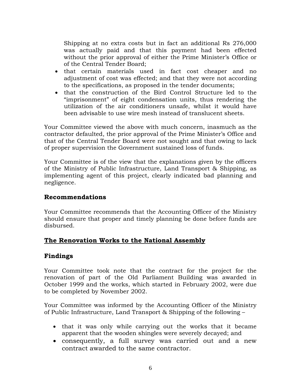Shipping at no extra costs but in fact an additional Rs 276,000 was actually paid and that this payment had been effected without the prior approval of either the Prime Minister's Office or of the Central Tender Board;

- that certain materials used in fact cost cheaper and no adjustment of cost was effected; and that they were not according to the specifications, as proposed in the tender documents;
- that the construction of the Bird Control Structure led to the "imprisonment" of eight condensation units, thus rendering the utilization of the air conditioners unsafe, whilst it would have been advisable to use wire mesh instead of translucent sheets.

Your Committee viewed the above with much concern, inasmuch as the contractor defaulted, the prior approval of the Prime Minister's Office and that of the Central Tender Board were not sought and that owing to lack of proper supervision the Government sustained loss of funds.

Your Committee is of the view that the explanations given by the officers of the Ministry of Public Infrastructure, Land Transport & Shipping, as implementing agent of this project, clearly indicated bad planning and negligence.

#### **Recommendations**

Your Committee recommends that the Accounting Officer of the Ministry should ensure that proper and timely planning be done before funds are disbursed.

## **The Renovation Works to the National Assembly**

## **Findings**

Your Committee took note that the contract for the project for the renovation of part of the Old Parliament Building was awarded in October 1999 and the works, which started in February 2002, were due to be completed by November 2002.

Your Committee was informed by the Accounting Officer of the Ministry of Public Infrastructure, Land Transport & Shipping of the following –

- that it was only while carrying out the works that it became apparent that the wooden shingles were severely decayed; and
- consequently, a full survey was carried out and a new contract awarded to the same contractor.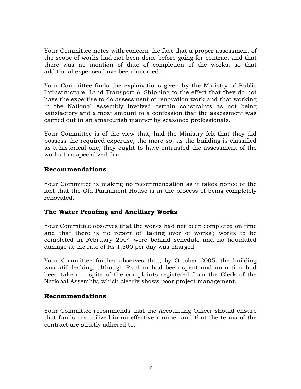Your Committee notes with concern the fact that a proper assessment of the scope of works had not been done before going for contract and that there was no mention of date of completion of the works, so that additional expenses have been incurred.

Your Committee finds the explanations given by the Ministry of Public Infrastructure, Land Transport & Shipping to the effect that they do not have the expertise to do assessment of renovation work and that working in the National Assembly involved certain constraints as not being satisfactory and almost amount to a confession that the assessment was carried out in an amateurish manner by seasoned professionals.

Your Committee is of the view that, had the Ministry felt that they did possess the required expertise, the more so, as the building is classified as a historical one, they ought to have entrusted the assessment of the works to a specialized firm.

#### **Recommendations**

Your Committee is making no recommendation as it takes notice of the fact that the Old Parliament House is in the process of being completely renovated.

#### **The Water Proofing and Ancillary Works**

Your Committee observes that the works had not been completed on time and that there is no report of 'taking over of works'; works to be completed in February 2004 were behind schedule and no liquidated damage at the rate of Rs 1,500 per day was charged.

Your Committee further observes that, by October 2005, the building was still leaking, although Rs 4 m had been spent and no action had been taken in spite of the complaints registered from the Clerk of the National Assembly, which clearly shows poor project management.

#### **Recommendations**

Your Committee recommends that the Accounting Officer should ensure that funds are utilized in an effective manner and that the terms of the contract are strictly adhered to.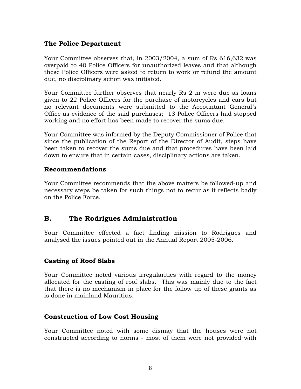#### **The Police Department**

Your Committee observes that, in 2003/2004, a sum of Rs 616,632 was overpaid to 40 Police Officers for unauthorized leaves and that although these Police Officers were asked to return to work or refund the amount due, no disciplinary action was initiated.

Your Committee further observes that nearly Rs 2 m were due as loans given to 22 Police Officers for the purchase of motorcycles and cars but no relevant documents were submitted to the Accountant General's Office as evidence of the said purchases; 13 Police Officers had stopped working and no effort has been made to recover the sums due.

Your Committee was informed by the Deputy Commissioner of Police that since the publication of the Report of the Director of Audit, steps have been taken to recover the sums due and that procedures have been laid down to ensure that in certain cases, disciplinary actions are taken.

#### **Recommendations**

Your Committee recommends that the above matters be followed-up and necessary steps be taken for such things not to recur as it reflects badly on the Police Force.

## **B. The Rodrigues Administration**

Your Committee effected a fact finding mission to Rodrigues and analysed the issues pointed out in the Annual Report 2005-2006.

## **Casting of Roof Slabs**

Your Committee noted various irregularities with regard to the money allocated for the casting of roof slabs. This was mainly due to the fact that there is no mechanism in place for the follow up of these grants as is done in mainland Mauritius.

## **Construction of Low Cost Housing**

Your Committee noted with some dismay that the houses were not constructed according to norms - most of them were not provided with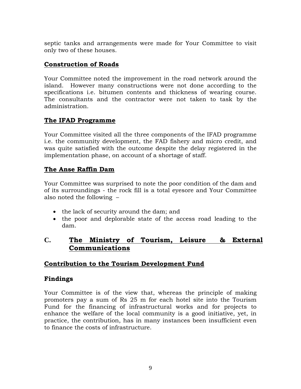septic tanks and arrangements were made for Your Committee to visit only two of these houses.

## **Construction of Roads**

Your Committee noted the improvement in the road network around the island. However many constructions were not done according to the specifications i.e. bitumen contents and thickness of wearing course. The consultants and the contractor were not taken to task by the administration.

## **The IFAD Programme**

Your Committee visited all the three components of the IFAD programme i.e. the community development, the FAD fishery and micro credit, and was quite satisfied with the outcome despite the delay registered in the implementation phase, on account of a shortage of staff.

## **The Anse Raffin Dam**

Your Committee was surprised to note the poor condition of the dam and of its surroundings - the rock fill is a total eyesore and Your Committee also noted the following –

- the lack of security around the dam; and
- the poor and deplorable state of the access road leading to the dam.

## **C. The Ministry of Tourism, Leisure & External Communications**

## **Contribution to the Tourism Development Fund**

## **Findings**

Your Committee is of the view that, whereas the principle of making promoters pay a sum of Rs 25 m for each hotel site into the Tourism Fund for the financing of infrastructural works and for projects to enhance the welfare of the local community is a good initiative, yet, in practice, the contribution, has in many instances been insufficient even to finance the costs of infrastructure.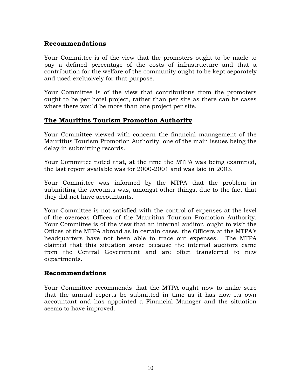#### **Recommendations**

Your Committee is of the view that the promoters ought to be made to pay a defined percentage of the costs of infrastructure and that a contribution for the welfare of the community ought to be kept separately and used exclusively for that purpose.

Your Committee is of the view that contributions from the promoters ought to be per hotel project, rather than per site as there can be cases where there would be more than one project per site.

#### **The Mauritius Tourism Promotion Authority**

Your Committee viewed with concern the financial management of the Mauritius Tourism Promotion Authority, one of the main issues being the delay in submitting records.

Your Committee noted that, at the time the MTPA was being examined, the last report available was for 2000-2001 and was laid in 2003.

Your Committee was informed by the MTPA that the problem in submitting the accounts was, amongst other things, due to the fact that they did not have accountants.

Your Committee is not satisfied with the control of expenses at the level of the overseas Offices of the Mauritius Tourism Promotion Authority. Your Committee is of the view that an internal auditor, ought to visit the Offices of the MTPA abroad as in certain cases, the Officers at the MTPA's headquarters have not been able to trace out expenses. The MTPA claimed that this situation arose because the internal auditors came from the Central Government and are often transferred to new departments.

#### **Recommendations**

Your Committee recommends that the MTPA ought now to make sure that the annual reports be submitted in time as it has now its own accountant and has appointed a Financial Manager and the situation seems to have improved.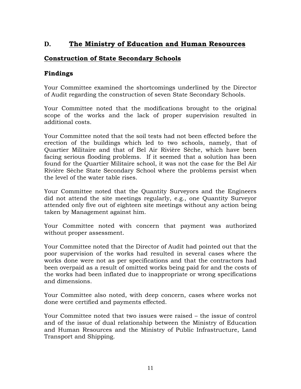## **D. The Ministry of Education and Human Resources**

## **Construction of State Secondary Schools**

#### **Findings**

Your Committee examined the shortcomings underlined by the Director of Audit regarding the construction of seven State Secondary Schools.

Your Committee noted that the modifications brought to the original scope of the works and the lack of proper supervision resulted in additional costs.

Your Committee noted that the soil tests had not been effected before the erection of the buildings which led to two schools, namely, that of Quartier Militaire and that of Bel Air Rivière Sèche, which have been facing serious flooding problems. If it seemed that a solution has been found for the Quartier Militaire school, it was not the case for the Bel Air Rivière Sèche State Secondary School where the problems persist when the level of the water table rises.

Your Committee noted that the Quantity Surveyors and the Engineers did not attend the site meetings regularly, e.g., one Quantity Surveyor attended only five out of eighteen site meetings without any action being taken by Management against him.

Your Committee noted with concern that payment was authorized without proper assessment.

Your Committee noted that the Director of Audit had pointed out that the poor supervision of the works had resulted in several cases where the works done were not as per specifications and that the contractors had been overpaid as a result of omitted works being paid for and the costs of the works had been inflated due to inappropriate or wrong specifications and dimensions.

Your Committee also noted, with deep concern, cases where works not done were certified and payments effected.

Your Committee noted that two issues were raised – the issue of control and of the issue of dual relationship between the Ministry of Education and Human Resources and the Ministry of Public Infrastructure, Land Transport and Shipping.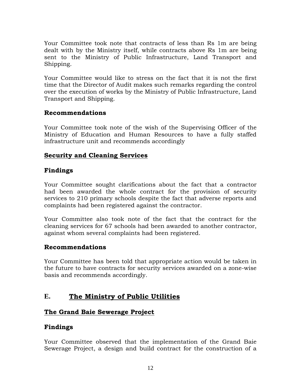Your Committee took note that contracts of less than Rs 1m are being dealt with by the Ministry itself, while contracts above Rs 1m are being sent to the Ministry of Public Infrastructure, Land Transport and Shipping.

Your Committee would like to stress on the fact that it is not the first time that the Director of Audit makes such remarks regarding the control over the execution of works by the Ministry of Public Infrastructure, Land Transport and Shipping.

#### **Recommendations**

Your Committee took note of the wish of the Supervising Officer of the Ministry of Education and Human Resources to have a fully staffed infrastructure unit and recommends accordingly

## **Security and Cleaning Services**

#### **Findings**

Your Committee sought clarifications about the fact that a contractor had been awarded the whole contract for the provision of security services to 210 primary schools despite the fact that adverse reports and complaints had been registered against the contractor.

Your Committee also took note of the fact that the contract for the cleaning services for 67 schools had been awarded to another contractor, against whom several complaints had been registered.

#### **Recommendations**

Your Committee has been told that appropriate action would be taken in the future to have contracts for security services awarded on a zone-wise basis and recommends accordingly.

## **E. The Ministry of Public Utilities**

## **The Grand Baie Sewerage Project**

## **Findings**

Your Committee observed that the implementation of the Grand Baie Sewerage Project, a design and build contract for the construction of a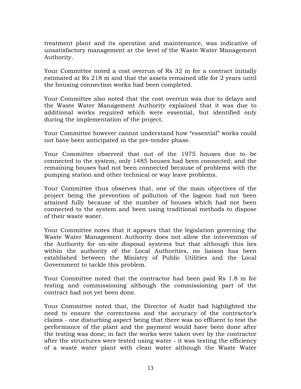treatment plant and its operation and maintenance, was indicative of unsatisfactory management at the level of the Waste Water Management Authority.

Your Committee noted a cost overrun of Rs 32 m for a contract initially estimated at Rs 218 m and that the assets remained idle for 2 years until the housing connection works had been completed.

Your Committee also noted that the cost overrun was due to delays and the Waste Water Management Authority explained that it was due to additional works required which were essential, but identified only during the implementation of the project.

Your Committee however cannot understand how "essential" works could not have been anticipated in the pre-tender phase.

Your Committee observed that out of the 1975 houses due to be connected to the system, only 1485 houses had been connected; and the remaining houses had not been connected because of problems with the pumping station and other technical or way leave problems.

Your Committee thus observes that, one of the main objectives of the project being the prevention of pollution of the lagoon had not been attained fully because of the number of houses which had not been connected to the system and been using traditional methods to dispose of their waste water.

Your Committee notes that it appears that the legislation governing the Waste Water Management Authority does not allow the intervention of the Authority for on-site disposal systems but that although this lies within the authority of the Local Authorities, no liaison has been established between the Ministry of Public Utilities and the Local Government to tackle this problem.

Your Committee noted that the contractor had been paid Rs 1.8 m for testing and commissioning although the commissioning part of the contract had not yet been done.

Your Committee noted that, the Director of Audit had highlighted the need to ensure the correctness and the accuracy of the contractor's claims - one disturbing aspect being that there was no effluent to test the performance of the plant and the payment would have been done after the testing was done; in fact the works were taken over by the contractor after the structures were tested using water - it was testing the efficiency of a waste water plant with clean water although the Waste Water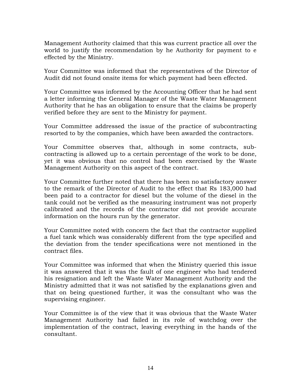Management Authority claimed that this was current practice all over the world to justify the recommendation by he Authority for payment to e effected by the Ministry.

Your Committee was informed that the representatives of the Director of Audit did not found onsite items for which payment had been effected.

Your Committee was informed by the Accounting Officer that he had sent a letter informing the General Manager of the Waste Water Management Authority that he has an obligation to ensure that the claims be properly verified before they are sent to the Ministry for payment.

Your Committee addressed the issue of the practice of subcontracting resorted to by the companies, which have been awarded the contractors.

Your Committee observes that, although in some contracts, subcontracting is allowed up to a certain percentage of the work to be done, yet it was obvious that no control had been exercised by the Waste Management Authority on this aspect of the contract.

Your Committee further noted that there has been no satisfactory answer to the remark of the Director of Audit to the effect that Rs 183,000 had been paid to a contractor for diesel but the volume of the diesel in the tank could not be verified as the measuring instrument was not properly calibrated and the records of the contractor did not provide accurate information on the hours run by the generator.

Your Committee noted with concern the fact that the contractor supplied a fuel tank which was considerably different from the type specified and the deviation from the tender specifications were not mentioned in the contract files.

Your Committee was informed that when the Ministry queried this issue it was answered that it was the fault of one engineer who had tendered his resignation and left the Waste Water Management Authority and the Ministry admitted that it was not satisfied by the explanations given and that on being questioned further, it was the consultant who was the supervising engineer.

Your Committee is of the view that it was obvious that the Waste Water Management Authority had failed in its role of watchdog over the implementation of the contract, leaving everything in the hands of the consultant.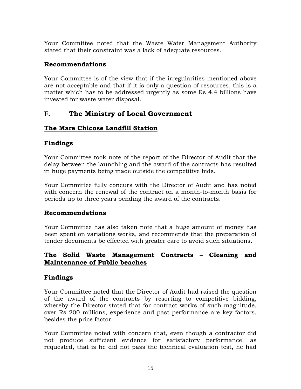Your Committee noted that the Waste Water Management Authority stated that their constraint was a lack of adequate resources.

## **Recommendations**

Your Committee is of the view that if the irregularities mentioned above are not acceptable and that if it is only a question of resources, this is a matter which has to be addressed urgently as some Rs 4.4 billions have invested for waste water disposal.

## **F. The Ministry of Local Government**

## **The Mare Chicose Landfill Station**

## **Findings**

Your Committee took note of the report of the Director of Audit that the delay between the launching and the award of the contracts has resulted in huge payments being made outside the competitive bids.

Your Committee fully concurs with the Director of Audit and has noted with concern the renewal of the contract on a month-to-month basis for periods up to three years pending the award of the contracts.

## **Recommendations**

Your Committee has also taken note that a huge amount of money has been spent on variations works, and recommends that the preparation of tender documents be effected with greater care to avoid such situations.

## **The Solid Waste Management Contracts – Cleaning and Maintenance of Public beaches**

## **Findings**

Your Committee noted that the Director of Audit had raised the question of the award of the contracts by resorting to competitive bidding, whereby the Director stated that for contract works of such magnitude, over Rs 200 millions, experience and past performance are key factors, besides the price factor.

Your Committee noted with concern that, even though a contractor did not produce sufficient evidence for satisfactory performance, as requested, that is he did not pass the technical evaluation test, he had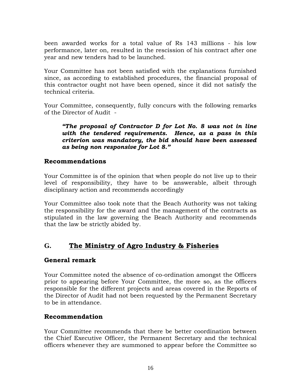been awarded works for a total value of Rs 143 millions - his low performance, later on, resulted in the rescission of his contract after one year and new tenders had to be launched.

Your Committee has not been satisfied with the explanations furnished since, as according to established procedures, the financial proposal of this contractor ought not have been opened, since it did not satisfy the technical criteria.

Your Committee, consequently, fully concurs with the following remarks of the Director of Audit -

*"The proposal of Contractor D for Lot No. 8 was not in line with the tendered requirements. Hence, as a pass in this criterion was mandatory, the bid should have been assessed as being non responsive for Lot 8."* 

#### **Recommendations**

Your Committee is of the opinion that when people do not live up to their level of responsibility, they have to be answerable, albeit through disciplinary action and recommends accordingly

Your Committee also took note that the Beach Authority was not taking the responsibility for the award and the management of the contracts as stipulated in the law governing the Beach Authority and recommends that the law be strictly abided by.

## **G. The Ministry of Agro Industry & Fisheries**

#### **General remark**

Your Committee noted the absence of co-ordination amongst the Officers prior to appearing before Your Committee, the more so, as the officers responsible for the different projects and areas covered in the Reports of the Director of Audit had not been requested by the Permanent Secretary to be in attendance.

#### **Recommendation**

Your Committee recommends that there be better coordination between the Chief Executive Officer, the Permanent Secretary and the technical officers whenever they are summoned to appear before the Committee so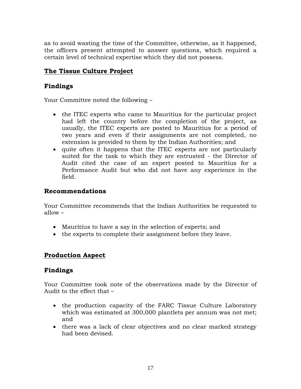as to avoid wasting the time of the Committee, otherwise, as it happened, the officers present attempted to answer questions, which required a certain level of technical expertise which they did not possess.

## **The Tissue Culture Project**

## **Findings**

Your Committee noted the following –

- the ITEC experts who came to Mauritius for the particular project had left the country before the completion of the project, as usually, the ITEC experts are posted to Mauritius for a period of two years and even if their assignments are not completed, no extension is provided to them by the Indian Authorities; and
- quite often it happens that the ITEC experts are not particularly suited for the task to which they are entrusted - the Director of Audit cited the case of an expert posted to Mauritius for a Performance Audit but who did not have any experience in the field.

#### **Recommendations**

Your Committee recommends that the Indian Authorities be requested to allow –

- Mauritius to have a say in the selection of experts; and
- the experts to complete their assignment before they leave.

#### **Production Aspect**

#### **Findings**

Your Committee took note of the observations made by the Director of Audit to the effect that –

- the production capacity of the FARC Tissue Culture Laboratory which was estimated at 300,000 plantlets per annum was not met; and
- there was a lack of clear objectives and no clear marked strategy had been devised.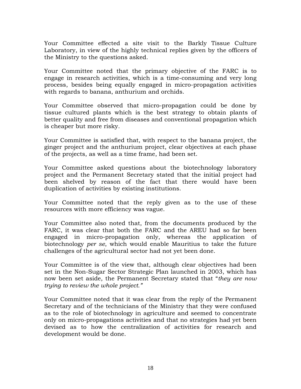Your Committee effected a site visit to the Barkly Tissue Culture Laboratory, in view of the highly technical replies given by the officers of the Ministry to the questions asked.

Your Committee noted that the primary objective of the FARC is to engage in research activities, which is a time-consuming and very long process, besides being equally engaged in micro-propagation activities with regards to banana, anthurium and orchids.

Your Committee observed that micro-propagation could be done by tissue cultured plants which is the best strategy to obtain plants of better quality and free from diseases and conventional propagation which is cheaper but more risky.

Your Committee is satisfied that, with respect to the banana project, the ginger project and the anthurium project, clear objectives at each phase of the projects, as well as a time frame, had been set.

Your Committee asked questions about the biotechnology laboratory project and the Permanent Secretary stated that the initial project had been shelved by reason of the fact that there would have been duplication of activities by existing institutions.

Your Committee noted that the reply given as to the use of these resources with more efficiency was vague.

Your Committee also noted that, from the documents produced by the FARC, it was clear that both the FARC and the AREU had so far been engaged in micro-propagation only, whereas the application of biotechnology *per se*, which would enable Mauritius to take the future challenges of the agricultural sector had not yet been done.

Your Committee is of the view that, although clear objectives had been set in the Non-Sugar Sector Strategic Plan launched in 2003, which has now been set aside, the Permanent Secretary stated that "*they are now trying to review the whole project."* 

Your Committee noted that it was clear from the reply of the Permanent Secretary and of the technicians of the Ministry that they were confused as to the role of biotechnology in agriculture and seemed to concentrate only on micro-propagations activities and that no strategies had yet been devised as to how the centralization of activities for research and development would be done.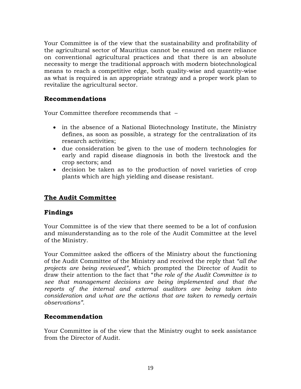Your Committee is of the view that the sustainability and profitability of the agricultural sector of Mauritius cannot be ensured on mere reliance on conventional agricultural practices and that there is an absolute necessity to merge the traditional approach with modern biotechnological means to reach a competitive edge, both quality-wise and quantity-wise as what is required is an appropriate strategy and a proper work plan to revitalize the agricultural sector.

#### **Recommendations**

Your Committee therefore recommends that –

- in the absence of a National Biotechnology Institute, the Ministry defines, as soon as possible, a strategy for the centralization of its research activities;
- due consideration be given to the use of modern technologies for early and rapid disease diagnosis in both the livestock and the crop sectors; and
- decision be taken as to the production of novel varieties of crop plants which are high yielding and disease resistant.

## **The Audit Committee**

#### **Findings**

Your Committee is of the view that there seemed to be a lot of confusion and misunderstanding as to the role of the Audit Committee at the level of the Ministry.

Your Committee asked the officers of the Ministry about the functioning of the Audit Committee of the Ministry and received the reply that *"all the projects are being reviewed"*, which prompted the Director of Audit to draw their attention to the fact that "*the role of the Audit Committee is to see that management decisions are being implemented and that the reports of the internal and external auditors are being taken into consideration and what are the actions that are taken to remedy certain observations"*.

#### **Recommendation**

Your Committee is of the view that the Ministry ought to seek assistance from the Director of Audit.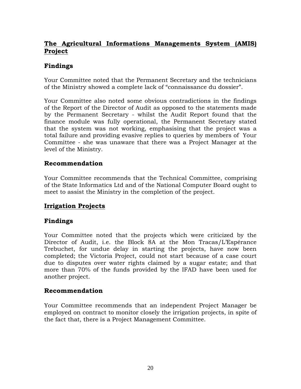## **The Agricultural Informations Managements System (AMIS) Project**

## **Findings**

Your Committee noted that the Permanent Secretary and the technicians of the Ministry showed a complete lack of "connaissance du dossier".

Your Committee also noted some obvious contradictions in the findings of the Report of the Director of Audit as opposed to the statements made by the Permanent Secretary - whilst the Audit Report found that the finance module was fully operational, the Permanent Secretary stated that the system was not working, emphasising that the project was a total failure and providing evasive replies to queries by members of Your Committee - she was unaware that there was a Project Manager at the level of the Ministry.

#### **Recommendation**

Your Committee recommends that the Technical Committee, comprising of the State Informatics Ltd and of the National Computer Board ought to meet to assist the Ministry in the completion of the project.

## **Irrigation Projects**

#### **Findings**

Your Committee noted that the projects which were criticized by the Director of Audit, i.e. the Block 8A at the Mon Tracas/L'Espérance Trebuchet, for undue delay in starting the projects, have now been completed; the Victoria Project, could not start because of a case court due to disputes over water rights claimed by a sugar estate; and that more than 70% of the funds provided by the IFAD have been used for another project.

#### **Recommendation**

Your Committee recommends that an independent Project Manager be employed on contract to monitor closely the irrigation projects, in spite of the fact that, there is a Project Management Committee.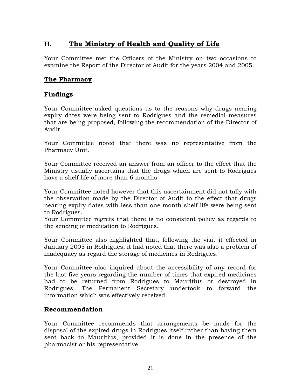## **H. The Ministry of Health and Quality of Life**

Your Committee met the Officers of the Ministry on two occasions to examine the Report of the Director of Audit for the years 2004 and 2005.

## **The Pharmacy**

#### **Findings**

Your Committee asked questions as to the reasons why drugs nearing expiry dates were being sent to Rodrigues and the remedial measures that are being proposed, following the recommendation of the Director of Audit.

Your Committee noted that there was no representative from the Pharmacy Unit.

Your Committee received an answer from an officer to the effect that the Ministry usually ascertains that the drugs which are sent to Rodrigues have a shelf life of more than 6 months.

Your Committee noted however that this ascertainment did not tally with the observation made by the Director of Audit to the effect that drugs nearing expiry dates with less than one month shelf life were being sent to Rodrigues.

Your Committee regrets that there is no consistent policy as regards to the sending of medication to Rodrigues.

Your Committee also highlighted that, following the visit it effected in January 2005 in Rodrigues, it had noted that there was also a problem of inadequacy as regard the storage of medicines in Rodrigues.

Your Committee also inquired about the accessibility of any record for the last five years regarding the number of times that expired medicines had to be returned from Rodrigues to Mauritius or destroyed in Rodrigues. The Permanent Secretary undertook to forward the information which was effectively received.

#### **Recommendation**

Your Committee recommends that arrangements be made for the disposal of the expired drugs in Rodrigues itself rather than having them sent back to Mauritius, provided it is done in the presence of the pharmacist or his representative.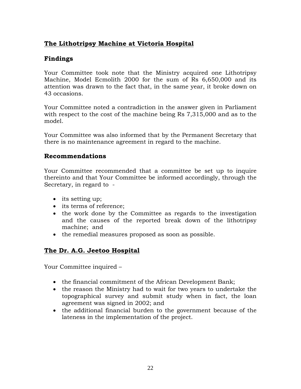## **The Lithotripsy Machine at Victoria Hospital**

## **Findings**

Your Committee took note that the Ministry acquired one Lithotripsy Machine, Model Ecmolith 2000 for the sum of Rs 6,650,000 and its attention was drawn to the fact that, in the same year, it broke down on 43 occasions.

Your Committee noted a contradiction in the answer given in Parliament with respect to the cost of the machine being Rs 7,315,000 and as to the model.

Your Committee was also informed that by the Permanent Secretary that there is no maintenance agreement in regard to the machine.

#### **Recommendations**

Your Committee recommended that a committee be set up to inquire thereinto and that Your Committee be informed accordingly, through the Secretary, in regard to -

- its setting up;
- its terms of reference;
- the work done by the Committee as regards to the investigation and the causes of the reported break down of the lithotripsy machine; and
- the remedial measures proposed as soon as possible.

## **The Dr. A.G. Jeetoo Hospital**

Your Committee inquired –

- the financial commitment of the African Development Bank;
- the reason the Ministry had to wait for two years to undertake the topographical survey and submit study when in fact, the loan agreement was signed in 2002; and
- the additional financial burden to the government because of the lateness in the implementation of the project.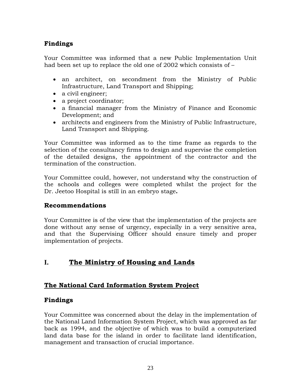## **Findings**

Your Committee was informed that a new Public Implementation Unit had been set up to replace the old one of 2002 which consists of –

- an architect, on secondment from the Ministry of Public Infrastructure, Land Transport and Shipping;
- a civil engineer;
- a project coordinator;
- a financial manager from the Ministry of Finance and Economic Development; and
- architects and engineers from the Ministry of Public Infrastructure, Land Transport and Shipping.

Your Committee was informed as to the time frame as regards to the selection of the consultancy firms to design and supervise the completion of the detailed designs, the appointment of the contractor and the termination of the construction.

Your Committee could, however, not understand why the construction of the schools and colleges were completed whilst the project for the Dr. Jeetoo Hospital is still in an embryo stage**.** 

#### **Recommendations**

Your Committee is of the view that the implementation of the projects are done without any sense of urgency, especially in a very sensitive area, and that the Supervising Officer should ensure timely and proper implementation of projects.

## **I. The Ministry of Housing and Lands**

## **The National Card Information System Project**

#### **Findings**

Your Committee was concerned about the delay in the implementation of the National Land Information System Project, which was approved as far back as 1994, and the objective of which was to build a computerized land data base for the island in order to facilitate land identification, management and transaction of crucial importance.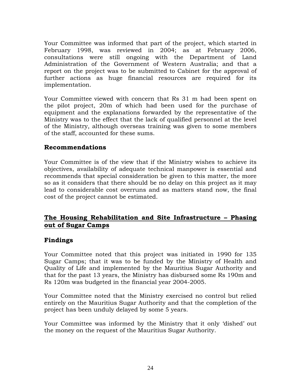Your Committee was informed that part of the project, which started in February 1998, was reviewed in 2004; as at February 2006, consultations were still ongoing with the Department of Land Administration of the Government of Western Australia; and that a report on the project was to be submitted to Cabinet for the approval of further actions as huge financial resources are required for its implementation.

Your Committee viewed with concern that Rs 31 m had been spent on the pilot project, 20m of which had been used for the purchase of equipment and the explanations forwarded by the representative of the Ministry was to the effect that the lack of qualified personnel at the level of the Ministry, although overseas training was given to some members of the staff, accounted for these sums.

#### **Recommendations**

Your Committee is of the view that if the Ministry wishes to achieve its objectives, availability of adequate technical manpower is essential and recommends that special consideration be given to this matter, the more so as it considers that there should be no delay on this project as it may lead to considerable cost overruns and as matters stand now, the final cost of the project cannot be estimated.

#### **The Housing Rehabilitation and Site Infrastructure – Phasing out of Sugar Camps**

#### **Findings**

Your Committee noted that this project was initiated in 1990 for 135 Sugar Camps; that it was to be funded by the Ministry of Health and Quality of Life and implemented by the Mauritius Sugar Authority and that for the past 13 years, the Ministry has disbursed some Rs 190m and Rs 120m was budgeted in the financial year 2004-2005.

Your Committee noted that the Ministry exercised no control but relied entirely on the Mauritius Sugar Authority and that the completion of the project has been unduly delayed by some 5 years.

Your Committee was informed by the Ministry that it only 'dished' out the money on the request of the Mauritius Sugar Authority.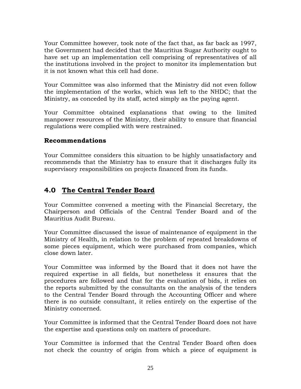Your Committee however, took note of the fact that, as far back as 1997, the Government had decided that the Mauritius Sugar Authority ought to have set up an implementation cell comprising of representatives of all the institutions involved in the project to monitor its implementation but it is not known what this cell had done.

Your Committee was also informed that the Ministry did not even follow the implementation of the works, which was left to the NHDC; that the Ministry, as conceded by its staff, acted simply as the paying agent.

Your Committee obtained explanations that owing to the limited manpower resources of the Ministry, their ability to ensure that financial regulations were complied with were restrained.

#### **Recommendations**

Your Committee considers this situation to be highly unsatisfactory and recommends that the Ministry has to ensure that it discharges fully its supervisory responsibilities on projects financed from its funds.

## **4.0 The Central Tender Board**

Your Committee convened a meeting with the Financial Secretary, the Chairperson and Officials of the Central Tender Board and of the Mauritius Audit Bureau.

Your Committee discussed the issue of maintenance of equipment in the Ministry of Health, in relation to the problem of repeated breakdowns of some pieces equipment, which were purchased from companies, which close down later.

Your Committee was informed by the Board that it does not have the required expertise in all fields, but nonetheless it ensures that the procedures are followed and that for the evaluation of bids, it relies on the reports submitted by the consultants on the analysis of the tenders to the Central Tender Board through the Accounting Officer and where there is no outside consultant, it relies entirely on the expertise of the Ministry concerned.

Your Committee is informed that the Central Tender Board does not have the expertise and questions only on matters of procedure.

Your Committee is informed that the Central Tender Board often does not check the country of origin from which a piece of equipment is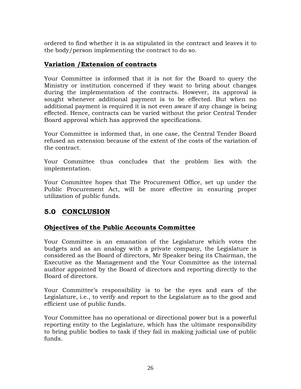ordered to find whether it is as stipulated in the contract and leaves it to the body/person implementing the contract to do so.

## **Variation /Extension of contracts**

Your Committee is informed that it is not for the Board to query the Ministry or institution concerned if they want to bring about changes during the implementation of the contracts. However, its approval is sought whenever additional payment is to be effected. But when no additional payment is required it is not even aware if any change is being effected. Hence, contracts can be varied without the prior Central Tender Board approval which has approved the specifications.

Your Committee is informed that, in one case, the Central Tender Board refused an extension because of the extent of the costs of the variation of the contract.

Your Committee thus concludes that the problem lies with the implementation.

Your Committee hopes that The Procurement Office, set up under the Public Procurement Act, will be more effective in ensuring proper utilization of public funds.

## **5.0 CONCLUSION**

## **Objectives of the Public Accounts Committee**

Your Committee is an emanation of the Legislature which votes the budgets and as an analogy with a private company, the Legislature is considered as the Board of directors, Mr Speaker being its Chairman, the Executive as the Management and the Your Committee as the internal auditor appointed by the Board of directors and reporting directly to the Board of directors.

Your Committee's responsibility is to be the eyes and ears of the Legislature, i.e., to verify and report to the Legislature as to the good and efficient use of public funds.

Your Committee has no operational or directional power but is a powerful reporting entity to the Legislature, which has the ultimate responsibility to bring public bodies to task if they fail in making judicial use of public funds.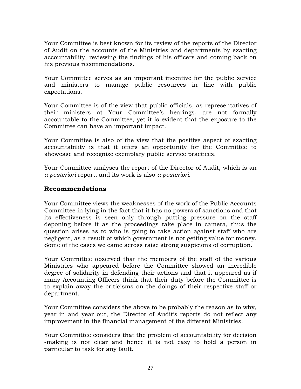Your Committee is best known for its review of the reports of the Director of Audit on the accounts of the Ministries and departments by exacting accountability, reviewing the findings of his officers and coming back on his previous recommendations.

Your Committee serves as an important incentive for the public service and ministers to manage public resources in line with public expectations.

Your Committee is of the view that public officials, as representatives of their ministers at Your Committee's hearings, are not formally accountable to the Committee, yet it is evident that the exposure to the Committee can have an important impact.

Your Committee is also of the view that the positive aspect of exacting accountability is that it offers an opportunity for the Committee to showcase and recognize exemplary public service practices.

Your Committee analyses the report of the Director of Audit, which is an *a posteriori* report, and its work is also *a posteriori.*

#### **Recommendations**

Your Committee views the weaknesses of the work of the Public Accounts Committee in lying in the fact that it has no powers of sanctions and that its effectiveness is seen only through putting pressure on the staff deponing before it as the proceedings take place in camera, thus the question arises as to who is going to take action against staff who are negligent, as a result of which government is not getting value for money. Some of the cases we came across raise strong suspicions of corruption.

Your Committee observed that the members of the staff of the various Ministries who appeared before the Committee showed an incredible degree of solidarity in defending their actions and that it appeared as if many Accounting Officers think that their duty before the Committee is to explain away the criticisms on the doings of their respective staff or department.

Your Committee considers the above to be probably the reason as to why, year in and year out, the Director of Audit's reports do not reflect any improvement in the financial management of the different Ministries.

Your Committee considers that the problem of accountability for decision -making is not clear and hence it is not easy to hold a person in particular to task for any fault.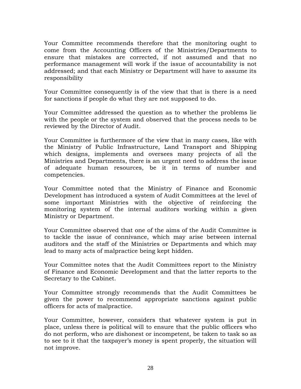Your Committee recommends therefore that the monitoring ought to come from the Accounting Officers of the Ministries/Departments to ensure that mistakes are corrected, if not assumed and that no performance management will work if the issue of accountability is not addressed; and that each Ministry or Department will have to assume its responsibility

Your Committee consequently is of the view that that is there is a need for sanctions if people do what they are not supposed to do.

Your Committee addressed the question as to whether the problems lie with the people or the system and observed that the process needs to be reviewed by the Director of Audit.

Your Committee is furthermore of the view that in many cases, like with the Ministry of Public Infrastructure, Land Transport and Shipping which designs, implements and oversees many projects of all the Ministries and Departments, there is an urgent need to address the issue of adequate human resources, be it in terms of number and competencies.

Your Committee noted that the Ministry of Finance and Economic Development has introduced a system of Audit Committees at the level of some important Ministries with the objective of reinforcing the monitoring system of the internal auditors working within a given Ministry or Department.

Your Committee observed that one of the aims of the Audit Committee is to tackle the issue of connivance, which may arise between internal auditors and the staff of the Ministries or Departments and which may lead to many acts of malpractice being kept hidden.

Your Committee notes that the Audit Committees report to the Ministry of Finance and Economic Development and that the latter reports to the Secretary to the Cabinet.

Your Committee strongly recommends that the Audit Committees be given the power to recommend appropriate sanctions against public officers for acts of malpractice.

Your Committee, however, considers that whatever system is put in place, unless there is political will to ensure that the public officers who do not perform, who are dishonest or incompetent, be taken to task so as to see to it that the taxpayer's money is spent properly, the situation will not improve.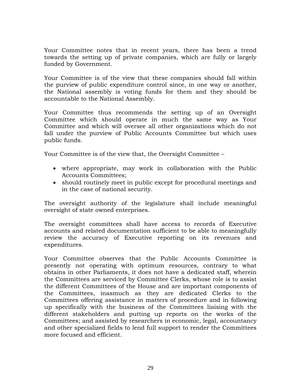Your Committee notes that in recent years, there has been a trend towards the setting up of private companies, which are fully or largely funded by Government.

Your Committee is of the view that these companies should fall within the purview of public expenditure control since, in one way or another, the National assembly is voting funds for them and they should be accountable to the National Assembly.

Your Committee thus recommends the setting up of an Oversight Committee which should operate in much the same way as Your Committee and which will oversee all other organizations which do not fall under the purview of Public Accounts Committee but which uses public funds.

Your Committee is of the view that, the Oversight Committee –

- where appropriate, may work in collaboration with the Public Accounts Committees;
- should routinely meet in public except for procedural meetings and in the case of national security.

The oversight authority of the legislature shall include meaningful oversight of state owned enterprises.

The oversight committees shall have access to records of Executive accounts and related documentation sufficient to be able to meaningfully review the accuracy of Executive reporting on its revenues and expenditures.

Your Committee observes that the Public Accounts Committee is presently not operating with optimum resources, contrary to what obtains in other Parliaments, it does not have a dedicated staff, wherein the Committees are serviced by Committee Clerks, whose role is to assist the different Committees of the House and are important components of the Committees, inasmuch as they are dedicated Clerks to the Committees offering assistance in matters of procedure and in following up specifically with the business of the Committees liaising with the different stakeholders and putting up reports on the works of the Committees; and assisted by researchers in economic, legal, accountancy and other specialized fields to lend full support to render the Committees more focused and efficient.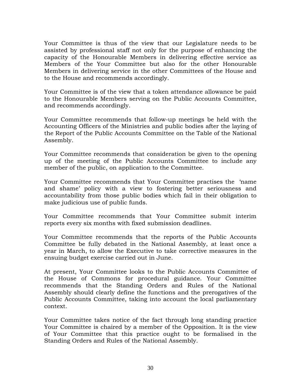Your Committee is thus of the view that our Legislature needs to be assisted by professional staff not only for the purpose of enhancing the capacity of the Honourable Members in delivering effective service as Members of the Your Committee but also for the other Honourable Members in delivering service in the other Committees of the House and to the House and recommends accordingly.

Your Committee is of the view that a token attendance allowance be paid to the Honourable Members serving on the Public Accounts Committee, and recommends accordingly.

Your Committee recommends that follow-up meetings be held with the Accounting Officers of the Ministries and public bodies after the laying of the Report of the Public Accounts Committee on the Table of the National Assembly.

Your Committee recommends that consideration be given to the opening up of the meeting of the Public Accounts Committee to include any member of the public, on application to the Committee.

Your Committee recommends that Your Committee practises the 'name and shame' policy with a view to fostering better seriousness and accountability from those public bodies which fail in their obligation to make judicious use of public funds.

Your Committee recommends that Your Committee submit interim reports every six months with fixed submission deadlines.

Your Committee recommends that the reports of the Public Accounts Committee be fully debated in the National Assembly, at least once a year in March, to allow the Executive to take corrective measures in the ensuing budget exercise carried out in June.

At present, Your Committee looks to the Public Accounts Committee of the House of Commons for procedural guidance. Your Committee recommends that the Standing Orders and Rules of the National Assembly should clearly define the functions and the prerogatives of the Public Accounts Committee, taking into account the local parliamentary context.

Your Committee takes notice of the fact through long standing practice Your Committee is chaired by a member of the Opposition. It is the view of Your Committee that this practice ought to be formalised in the Standing Orders and Rules of the National Assembly.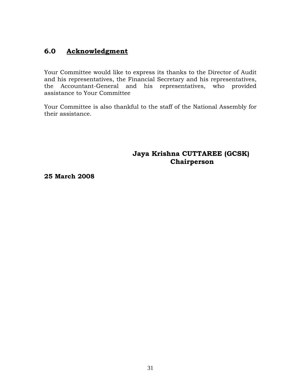## **6.0 Acknowledgment**

Your Committee would like to express its thanks to the Director of Audit and his representatives, the Financial Secretary and his representatives, the Accountant-General and his representatives, who provided assistance to Your Committee

Your Committee is also thankful to the staff of the National Assembly for their assistance.

## **Jaya Krishna CUTTAREE (GCSK) Chairperson**

**25 March 2008**